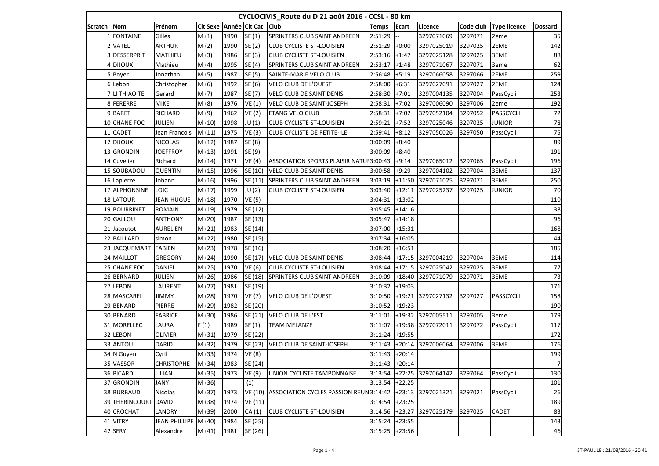| CYCLOCIVIS_Route du D 21 août 2016 - CCSL - 80 km |                      |                      |                        |      |               |                                          |                  |              |            |           |                     |                |
|---------------------------------------------------|----------------------|----------------------|------------------------|------|---------------|------------------------------------------|------------------|--------------|------------|-----------|---------------------|----------------|
| Scratch                                           | Nom                  | Prénom               | Cit Sexe Année Cit Cat |      |               | <b>Club</b>                              | Temps            | <b>Ecart</b> | Licence    | Code club | <b>Type licence</b> | <b>Dossard</b> |
|                                                   | <b>FONTAINE</b>      | Gilles               | M(1)                   | 1990 | SE(1)         | SPRINTERS CLUB SAINT ANDREEN             | 2:51:29          |              | 3297071069 | 3297071   | 2eme                | 35             |
|                                                   | 2 VATEL              | <b>ARTHUR</b>        | M(2)                   | 1990 | SE (2)        | <b>CLUB CYCLISTE ST-LOUISIEN</b>         | 2:51:29          | $+0:00$      | 3297025019 | 3297025   | 2EME                | 142            |
|                                                   | 3 DESSERPRIT         | MATHIEU              | M(3)                   | 1986 | SE (3)        | <b>CLUB CYCLISTE ST-LOUISIEN</b>         | 2:53:16          | $+1:47$      | 3297025128 | 3297025   | 3EME                | 88             |
|                                                   | 4 DIJOUX             | Mathieu              | M(4)                   | 1995 | SE (4)        | <b>SPRINTERS CLUB SAINT ANDREEN</b>      | 2:53:17          | $+1:48$      | 3297071067 | 3297071   | 3eme                | 62             |
|                                                   | 5 Boyer              | Jonathan             | M(5)                   | 1987 | SE (5)        | SAINTE-MARIE VELO CLUB                   | 2:56:48          | $+5:19$      | 3297066058 | 3297066   | 2EME                | 259            |
|                                                   | 6 Lebon              | Christopher          | M(6)                   | 1992 | SE (6)        | VELO CLUB DE L'OUEST                     | 2:58:00          | $+6:31$      | 3297027091 | 3297027   | 2EME                | 124            |
|                                                   | 7 LI THIAO TE        | Gerard               | M(7)                   | 1987 | SE (7)        | <b>VELO CLUB DE SAINT DENIS</b>          | 2:58:30          | $+7:01$      | 3297004135 | 3297004   | PassCycli           | 253            |
|                                                   | 8 FERERRE            | <b>MIKE</b>          | M(8)                   | 1976 | VE(1)         | <b>VELO CLUB DE SAINT-JOSEPH</b>         | 2:58:31          | $+7:02$      | 3297006090 | 3297006   | 2eme                | 192            |
|                                                   | 9 BARET              | <b>RICHARD</b>       | M (9)                  | 1962 | VE(2)         | <b>ETANG VELO CLUB</b>                   | 2:58:31          | $+7:02$      | 3297052104 | 3297052   | PASSCYCLI           | 72             |
|                                                   | 10 CHANE FOC         | JULIEN               | M (10)                 | 1998 | JU (1)        | <b>CLUB CYCLISTE ST-LOUISIEN</b>         | 2:59:21          | $+7:52$      | 3297025046 | 3297025   | <b>JUNIOR</b>       | 78             |
|                                                   | 11 CADET             | Jean Francois        | M(11)                  | 1975 | VE(3)         | CLUB CYCLISTE DE PETITE-ILE              | 2:59:41          | $+8:12$      | 3297050026 | 3297050   | PassCycli           | 75             |
|                                                   | 12 DIJOUX            | <b>NICOLAS</b>       | M (12)                 | 1987 | SE (8)        |                                          | 3:00:09          | $+8:40$      |            |           |                     | 89             |
|                                                   | 13 GRONDIN           | <b>JOEFFROY</b>      | M (13)                 | 1991 | SE (9)        |                                          | 3:00:09          | $+8:40$      |            |           |                     | 191            |
|                                                   | 14 Cuvelier          | Richard              | M (14)                 | 1971 | VE(4)         | ASSOCIATION SPORTS PLAISIR NATUL 3:00:43 |                  | $+9:14$      | 3297065012 | 3297065   | PassCycli           | 196            |
|                                                   | 15 SOUBADOU          | QUENTIN              | M (15)                 | 1996 | SE (10)       | <b>VELO CLUB DE SAINT DENIS</b>          | 3:00:58          | $+9:29$      | 3297004102 | 3297004   | 3EME                | 137            |
|                                                   | 16 Lapierre          | Johann               | M (16)                 | 1996 | SE (11)       | SPRINTERS CLUB SAINT ANDREEN             | 3:03:19          | $+11:50$     | 3297071025 | 3297071   | 3EME                | 250            |
|                                                   | 17 ALPHONSINE        | LOIC                 | M (17)                 | 1999 | JU (2)        | <b>CLUB CYCLISTE ST-LOUISIEN</b>         | 3:03:40          | $+12:11$     | 3297025237 | 3297025   | <b>JUNIOR</b>       | 70             |
|                                                   | <b>18 LATOUR</b>     | <b>JEAN HUGUE</b>    | M (18)                 | 1970 | <b>VE (5)</b> |                                          | 3:04:31          | $+13:02$     |            |           |                     | 110            |
|                                                   | 19 BOURRINET         | <b>ROMAIN</b>        | M (19)                 | 1979 | SE (12)       |                                          | 3:05:45          | $+14:16$     |            |           |                     | 38             |
|                                                   | 20 GALLOU            | <b>ANTHONY</b>       | M (20)                 | 1987 | SE (13)       |                                          | 3:05:47          | $+14:18$     |            |           |                     | 96             |
|                                                   | 21 Jacoutot          | <b>AURELIEN</b>      | M(21)                  | 1983 | SE (14)       |                                          | 3:07:00          | $+15:31$     |            |           |                     | 168            |
|                                                   | 22 PAILLARD          | simon                | M (22)                 | 1980 | SE (15)       |                                          | 3:07:34          | $+16:05$     |            |           |                     | 44             |
|                                                   | 23 JACQUEMART        | <b>FABIEN</b>        | M (23)                 | 1978 | SE (16)       |                                          | 3:08:20          | $+16:51$     |            |           |                     | 185            |
|                                                   | 24 MAILLOT           | <b>GREGORY</b>       | M (24)                 | 1990 | SE (17)       | <b>VELO CLUB DE SAINT DENIS</b>          | 3:08:44          | $+17:15$     | 3297004219 | 3297004   | 3EME                | 114            |
|                                                   | 25 CHANE FOC         | DANIEL               | M (25)                 | 1970 | VE (6)        | <b>CLUB CYCLISTE ST-LOUISIEN</b>         | 3:08:44          | $+17:15$     | 3297025042 | 3297025   | 3EME                | 77             |
|                                                   | 26 BERNARD           | JULIEN               | M (26)                 | 1986 | SE (18)       | SPRINTERS CLUB SAINT ANDREEN             | 3:10:09          | $+18:40$     | 3297071079 | 3297071   | 3EME                | 73             |
|                                                   | 27 LEBON             | LAURENT              | M (27)                 | 1981 | SE (19)       |                                          | 3:10:32          | $+19:03$     |            |           |                     | 171            |
|                                                   | 28 MASCAREL          | <b>JIMMY</b>         | M (28)                 | 1970 | <b>VE (7)</b> | <b>VELO CLUB DE L'OUEST</b>              | 3:10:50          | $+19:21$     | 3297027132 | 3297027   | PASSCYCLI           | 158            |
|                                                   | 29 BENARD            | PIERRE               | M (29)                 | 1982 | SE (20)       |                                          | 3:10:52          | $+19:23$     |            |           |                     | 190            |
|                                                   | 30 BENARD            | <b>FABRICE</b>       | M (30)                 | 1986 | SE (21)       | <b>VELO CLUB DE L'EST</b>                | 3:11:01          | $+19:32$     | 3297005511 | 3297005   | 3eme                | 179            |
|                                                   | 31 MORELLEC          | LAURA                | F(1)                   | 1989 | SE (1)        | <b>TEAM MELANZE</b>                      | 3:11:07          | $+19:38$     | 3297072011 | 3297072   | PassCycli           | 117            |
|                                                   | 32 LEBON             | <b>OLIVIER</b>       | M (31)                 | 1979 | SE (22)       |                                          | 3:11:24          | $+19:55$     |            |           |                     | 172            |
|                                                   | 33 ANTOU             | DARID                | M (32)                 | 1979 | SE (23)       | VELO CLUB DE SAINT-JOSEPH                | 3:11:43          | $+20:14$     | 3297006064 | 3297006   | 3EME                | 176            |
|                                                   | 34 N Guyen           | Cyril                | M (33)                 | 1974 | <b>VE (8)</b> |                                          | 3:11:43          | $+20:14$     |            |           |                     | 199            |
|                                                   | 35 VASSOR            | <b>CHRISTOPHE</b>    | M (34)                 | 1983 | SE (24)       |                                          | $3:11:43$ +20:14 |              |            |           |                     | 7              |
|                                                   | 36 PICARD            | LILIAN               | M (35)                 | 1973 | VE (9)        | UNION CYCLISTE TAMPONNAISE               | 3:13:54          | $+22:25$     | 3297064142 | 3297064   | PassCycli           | 130            |
|                                                   | 37 GRONDIN           | JANY                 | M (36)                 |      | (1)           |                                          | $3:13:54$ +22:25 |              |            |           |                     | 101            |
|                                                   | 38 BURBAUD           | Nicolas              | M (37)                 | 1973 | VE (10)       | ASSOCIATION CYCLES PASSION REUN 3:14:42  |                  | $+23:13$     | 3297021321 | 3297021   | PassCycli           | 26             |
|                                                   | 39 THERINCOURT DAVID |                      | M (38)                 | 1974 | VE (11)       |                                          | 3:14:54          | $+23:25$     |            |           |                     | 189            |
|                                                   | 40 CROCHAT           | <b>LANDRY</b>        | M (39)                 | 2000 | CA(1)         | <b>CLUB CYCLISTE ST-LOUISIEN</b>         | 3:14:56          | $+23:27$     | 3297025179 | 3297025   | <b>CADET</b>        | 83             |
|                                                   | 41 VITRY             | JEAN PHILLIPE M (40) |                        | 1984 | SE (25)       |                                          | 3:15:24          | $+23:55$     |            |           |                     | 143            |
|                                                   | 42 SERY              | Alexandre            | M (41)                 | 1981 | SE (26)       |                                          | 3:15:25          | $+23:56$     |            |           |                     | 46             |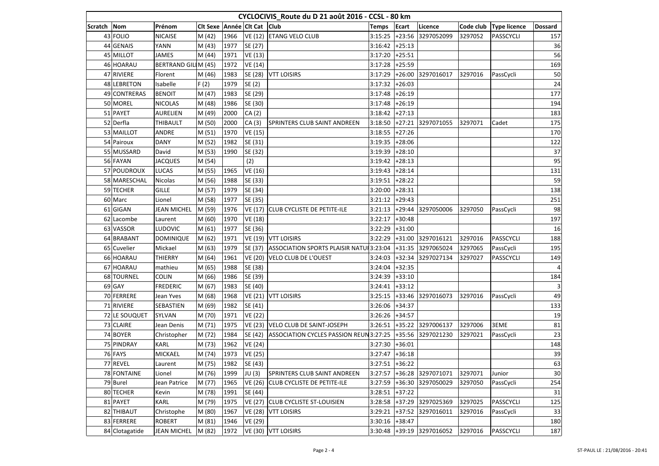| CYCLOCIVIS_Route du D 21 août 2016 - CCSL - 80 km |                    |                     |                             |      |                |                                          |              |              |                   |           |                     |                         |
|---------------------------------------------------|--------------------|---------------------|-----------------------------|------|----------------|------------------------------------------|--------------|--------------|-------------------|-----------|---------------------|-------------------------|
| Scratch                                           | Nom                | Prénom              | Cit Sexe Année Cit Cat Ciub |      |                |                                          | <b>Temps</b> | <b>Ecart</b> | Licence           | Code club | <b>Type licence</b> | <b>Dossard</b>          |
|                                                   | 43 FOLIO           | <b>NICAISE</b>      | M (42)                      | 1966 | VE (12)        | <b>ETANG VELO CLUB</b>                   | 3:15:25      | $+23:56$     | 3297052099        | 3297052   | <b>PASSCYCLI</b>    | 157                     |
|                                                   | 44 GENAIS          | YANN                | M (43)                      | 1977 | SE (27)        |                                          | 3:16:42      | $+25:13$     |                   |           |                     | 36                      |
|                                                   | 45 MILLOT          | <b>JAMES</b>        | M (44)                      | 1971 | VE (13)        |                                          | 3:17:20      | $+25:51$     |                   |           |                     | 56                      |
|                                                   | 46 HOARAU          | BERTRAND GILLM (45) |                             | 1972 | VE (14)        |                                          | 3:17:28      | $+25:59$     |                   |           |                     | 169                     |
|                                                   | 47 RIVIERE         | Florent             | M (46)                      | 1983 | SE (28)        | <b>VTT LOISIRS</b>                       | 3:17:29      | $+26:00$     | 3297016017        | 3297016   | PassCycli           | 50                      |
|                                                   | <b>48 LEBRETON</b> | Isabelle            | F(2)                        | 1979 | SE (2)         |                                          | 3:17:32      | $+26:03$     |                   |           |                     | 24                      |
|                                                   | 49 CONTRERAS       | <b>BENOIT</b>       | M (47)                      | 1983 | SE (29)        |                                          | 3:17:48      | $+26:19$     |                   |           |                     | 177                     |
|                                                   | 50 MOREL           | <b>NICOLAS</b>      | M (48)                      | 1986 | SE (30)        |                                          | 3:17:48      | $+26:19$     |                   |           |                     | 194                     |
|                                                   | 51 PAYET           | <b>AURELIEN</b>     | M (49)                      | 2000 | CA(2)          |                                          | 3:18:42      | $+27:13$     |                   |           |                     | 183                     |
|                                                   | 52 Derfla          | <b>THIBAULT</b>     | M (50)                      | 2000 | CA(3)          | SPRINTERS CLUB SAINT ANDREEN             | 3:18:50      | $+27:21$     | 3297071055        | 3297071   | Cadet               | 175                     |
|                                                   | 53 MAILLOT         | ANDRE               | M (51)                      | 1970 | VE (15)        |                                          | 3:18:55      | $+27:26$     |                   |           |                     | 170                     |
|                                                   | 54 Pairoux         | <b>DANY</b>         | M (52)                      | 1982 | SE (31)        |                                          | 3:19:35      | $+28:06$     |                   |           |                     | 122                     |
|                                                   | 55 MUSSARD         | David               | M (53)                      | 1990 | SE (32)        |                                          | 3:19:39      | $+28:10$     |                   |           |                     | 37                      |
|                                                   | 56 FAYAN           | <b>JACQUES</b>      | M (54)                      |      | (2)            |                                          | 3:19:42      | $+28:13$     |                   |           |                     | 95                      |
|                                                   | 57 POUDROUX        | <b>LUCAS</b>        | M (55)                      | 1965 | VE (16)        |                                          | 3:19:43      | $+28:14$     |                   |           |                     | 131                     |
|                                                   | 58 MARESCHAL       | Nicolas             | M (56)                      | 1988 | SE (33)        |                                          | 3:19:51      | $+28:22$     |                   |           |                     | 59                      |
|                                                   | 59 TECHER          | GILLE               | M (57)                      | 1979 | SE (34)        |                                          | 3:20:00      | $+28:31$     |                   |           |                     | 138                     |
|                                                   | 60 Marc            | Lionel              | M (58)                      | 1977 | SE (35)        |                                          | 3:21:12      | $+29:43$     |                   |           |                     | 251                     |
|                                                   | 61 GIGAN           | <b>JEAN MICHEL</b>  | M (59)                      | 1976 | VE (17)        | <b>CLUB CYCLISTE DE PETITE-ILE</b>       | 3:21:13      | $+29:44$     | 3297050006        | 3297050   | PassCycli           | 98                      |
|                                                   | 62 Lacombe         | Laurent             | M (60)                      | 1970 | VE (18)        |                                          | 3:22:17      | $+30:48$     |                   |           |                     | 197                     |
|                                                   | 63 VASSOR          | LUDOVIC             | M(61)                       | 1977 | SE (36)        |                                          | 3:22:29      | $+31:00$     |                   |           |                     | 16                      |
|                                                   | 64 BRABANT         | <b>DOMINIQUE</b>    | M (62)                      | 1971 |                | VE (19) VTT LOISIRS                      | 3:22:29      | $+31:00$     | 3297016121        | 3297016   | <b>PASSCYCLI</b>    | 188                     |
|                                                   | 65 Cuvelier        | Mickael             | M (63)                      | 1979 | SE (37)        | ASSOCIATION SPORTS PLAISIR NATUL 3:23:04 |              | $+31:35$     | 3297065024        | 3297065   | PassCycli           | 195                     |
|                                                   | 66 HOARAU          | <b>THIERRY</b>      | M (64)                      | 1961 | VE (20)        | VELO CLUB DE L'OUEST                     | 3:24:03      | $+32:34$     | 3297027134        | 3297027   | PASSCYCLI           | 149                     |
|                                                   | 67 HOARAU          | mathieu             | M (65)                      | 1988 | SE (38)        |                                          | 3:24:04      | $+32:35$     |                   |           |                     | $\vert$                 |
|                                                   | <b>68 TOURNEL</b>  | <b>COLIN</b>        | M (66)                      | 1986 | SE (39)        |                                          | 3:24:39      | $+33:10$     |                   |           |                     | 184                     |
|                                                   | 69 GAY             | <b>FREDERIC</b>     | M (67)                      | 1983 | SE (40)        |                                          | 3:24:41      | $+33:12$     |                   |           |                     | $\overline{\mathbf{3}}$ |
|                                                   | 70 FERRERE         | Jean Yves           | M (68)                      | 1968 | VE (21)        | <b>VTT LOISIRS</b>                       | 3:25:15      | $+33:46$     | 3297016073        | 3297016   | PassCycli           | 49                      |
|                                                   | 71 RIVIERE         | SEBASTIEN           | M (69)                      | 1982 | SE (41)        |                                          | 3:26:06      | $+34:37$     |                   |           |                     | 133                     |
|                                                   | 72 LE SOUQUET      | SYLVAN              | M (70)                      | 1971 | <b>VE (22)</b> |                                          | 3:26:26      | $+34:57$     |                   |           |                     | 19                      |
|                                                   | 73 CLAIRE          | Jean Denis          | M (71)                      | 1975 | VE (23)        | VELO CLUB DE SAINT-JOSEPH                | 3:26:51      | $+35:22$     | 3297006137        | 3297006   | 3EME                | 81                      |
|                                                   | 74 BOYER           | Christopher         | M (72)                      | 1984 | SE (42)        | ASSOCIATION CYCLES PASSION REUN 3:27:25  |              | $+35:56$     | 3297021230        | 3297021   | PassCycli           | 23                      |
|                                                   | 75 PINDRAY         | KARL                | M (73)                      | 1962 | <b>VE (24)</b> |                                          | 3:27:30      | $+36:01$     |                   |           |                     | 148                     |
|                                                   | 76 FAYS            | MICKAEL             | M (74)                      | 1973 | <b>VE (25)</b> |                                          | 3:27:47      | $+36:18$     |                   |           |                     | 39                      |
|                                                   | 77 REVEL           | Laurent             | M (75)                      | 1982 | SE (43)        |                                          | 3:27:51      | $+36:22$     |                   |           |                     | 63                      |
|                                                   | <b>78 FONTAINE</b> | Lionel              | M (76)                      | 1999 | JU (3)         | SPRINTERS CLUB SAINT ANDREEN             | 3:27:57      | $+36:28$     | 3297071071        | 3297071   | Junior              | 30                      |
|                                                   | 79 Burel           | Jean Patrice        | M (77)                      | 1965 | VE (26)        | <b>CLUB CYCLISTE DE PETITE-ILE</b>       | 3:27:59      | $+36:30$     | 3297050029        | 3297050   | PassCycli           | 254                     |
|                                                   | 80 TECHER          | Kevin               | M (78)                      | 1991 | SE (44)        |                                          | 3:28:51      | $+37:22$     |                   |           |                     | 31                      |
|                                                   | 81 PAYET           | KARL                | M (79)                      | 1975 | VE (27)        | <b>CLUB CYCLISTE ST-LOUISIEN</b>         | 3:28:58      |              | +37:29 3297025369 | 3297025   | PASSCYCLI           | 125                     |
|                                                   | 82 THIBAUT         | Christophe          | M (80)                      | 1967 | VE (28)        | <b>VTT LOISIRS</b>                       | 3:29:21      | $+37:52$     | 3297016011        | 3297016   | PassCycli           | 33                      |
|                                                   | 83 FERRERE         | <b>ROBERT</b>       | M (81)                      | 1946 | VE (29)        |                                          | 3:30:16      | $+38:47$     |                   |           |                     | 180                     |
|                                                   | 84 Clotagatide     | <b>JEAN MICHEL</b>  | M (82)                      | 1972 |                | VE (30) VTT LOISIRS                      | 3:30:48      |              | +39:19 3297016052 | 3297016   | <b>PASSCYCLI</b>    | 187                     |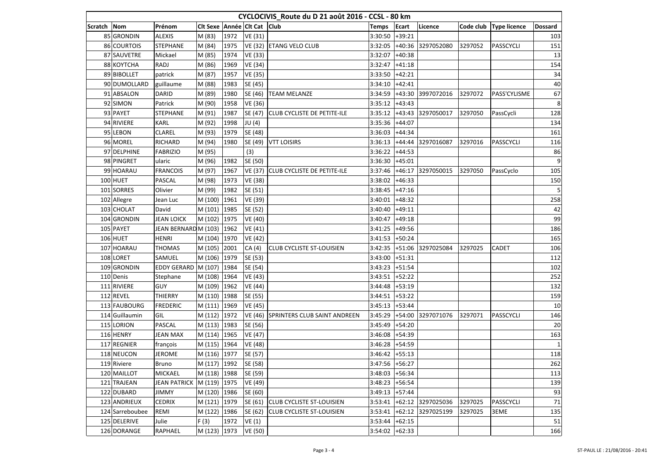| CYCLOCIVIS_Route du D 21 août 2016 - CCSL - 80 km |                 |                      |                             |      |                |                                    |                  |          |                   |           |                     |                  |
|---------------------------------------------------|-----------------|----------------------|-----------------------------|------|----------------|------------------------------------|------------------|----------|-------------------|-----------|---------------------|------------------|
| Scratch Nom                                       |                 | Prénom               | Cit Sexe Année Cit Cat Club |      |                |                                    | <b>Temps</b>     | Ecart    | Licence           | Code club | <b>Type licence</b> | <b>Dossard</b>   |
|                                                   | 85 GRONDIN      | <b>ALEXIS</b>        | M (83)                      | 1972 | VE (31)        |                                    | 3:30:50          | $+39:21$ |                   |           |                     | 103              |
|                                                   | 86 COURTOIS     | <b>STEPHANE</b>      | M (84)                      | 1975 | VE (32)        | <b>ETANG VELO CLUB</b>             | 3:32:05          | $+40:36$ | 3297052080        | 3297052   | PASSCYCLI           | 151              |
|                                                   | 87 SAUVETRE     | Mickael              | M (85)                      | 1974 | VE (33)        |                                    | 3:32:07          | $+40:38$ |                   |           |                     | 13               |
|                                                   | 88 KOYTCHA      | RADJ                 | M (86)                      | 1969 | <b>VE (34)</b> |                                    | 3:32:47          | $+41:18$ |                   |           |                     | 154              |
|                                                   | 89 BIBOLLET     | patrick              | M (87)                      | 1957 | <b>VE (35)</b> |                                    | 3:33:50          | $+42:21$ |                   |           |                     | 34               |
|                                                   | 90 DUMOLLARD    | guillaume            | M (88)                      | 1983 | SE (45)        |                                    | 3:34:10          | $+42:41$ |                   |           |                     | 40               |
|                                                   | 91 ABSALON      | <b>DARID</b>         | M (89)                      | 1980 | SE (46)        | <b>TEAM MELANZE</b>                | 3:34:59          | $+43:30$ | 3997072016        | 3297072   | PASS'CYLISME        | 67               |
|                                                   | 92 SIMON        | Patrick              | M (90)                      | 1958 | VE (36)        |                                    | 3:35:12          | $+43:43$ |                   |           |                     | $\boldsymbol{8}$ |
|                                                   | 93 PAYET        | <b>STEPHANE</b>      | M (91)                      | 1987 | SE (47)        | CLUB CYCLISTE DE PETITE-ILE        | 3:35:12          | $+43:43$ | 3297050017        | 3297050   | PassCycli           | 128              |
|                                                   | 94 RIVIERE      | KARL                 | M (92)                      | 1998 | JU (4)         |                                    | 3:35:36          | $+44:07$ |                   |           |                     | 134              |
|                                                   | 95 LEBON        | CLAREL               | M (93)                      | 1979 | SE (48)        |                                    | 3:36:03          | $+44:34$ |                   |           |                     | 161              |
|                                                   | 96 MOREL        | RICHARD              | M (94)                      | 1980 | SE (49)        | <b>VTT LOISIRS</b>                 | 3:36:13          | $+44:44$ | 3297016087        | 3297016   | PASSCYCLI           | 116              |
|                                                   | 97 DELPHINE     | <b>FABRIZIO</b>      | M (95)                      |      | (3)            |                                    | 3:36:22          | $+44:53$ |                   |           |                     | 86               |
|                                                   | 98 PINGRET      | ularic               | M (96)                      | 1982 | SE (50)        |                                    | 3:36:30          | $+45:01$ |                   |           |                     | $\overline{9}$   |
|                                                   | 99 HOARAU       | <b>FRANCOIS</b>      | M (97)                      | 1967 | VE (37)        | <b>CLUB CYCLISTE DE PETITE-ILE</b> | 3:37:46          | $+46:17$ | 3297050015        | 3297050   | PassCyclo           | 105              |
|                                                   | 100 HUET        | PASCAL               | M (98)                      | 1973 | VE (38)        |                                    | 3:38:02          | $+46:33$ |                   |           |                     | 150              |
|                                                   | 101 SORRES      | Olivier              | M (99)                      | 1982 | SE (51)        |                                    | 3:38:45          | $+47:16$ |                   |           |                     | 5                |
|                                                   | 102 Allegre     | Jean Luc             | M (100)                     | 1961 | VE (39)        |                                    | 3:40:01          | $+48:32$ |                   |           |                     | 258              |
|                                                   | 103 CHOLAT      | David                | M (101)                     | 1985 | SE (52)        |                                    | 3:40:40          | $+49:11$ |                   |           |                     | 42               |
|                                                   | 104 GRONDIN     | <b>JEAN LOICK</b>    | M (102)                     | 1975 | <b>VE (40)</b> |                                    | 3:40:47          | $+49:18$ |                   |           |                     | 99               |
|                                                   | 105 PAYET       | JEAN BERNARD M (103) |                             | 1962 | VE (41)        |                                    | 3:41:25          | $+49:56$ |                   |           |                     | 186              |
|                                                   | 106 HUET        | <b>HENRI</b>         | M (104)                     | 1970 | VE (42)        |                                    | 3:41:53          | $+50:24$ |                   |           |                     | 165              |
|                                                   | 107 HOARAU      | <b>THOMAS</b>        | M (105)                     | 2001 | CA (4)         | <b>CLUB CYCLISTE ST-LOUISIEN</b>   | 3:42:35          | $+51:06$ | 3297025084        | 3297025   | <b>CADET</b>        | 106              |
|                                                   | 108 LORET       | SAMUEL               | M (106)                     | 1979 | SE (53)        |                                    | 3:43:00          | $+51:31$ |                   |           |                     | 112              |
|                                                   | 109 GRONDIN     | EDDY GERARD M (107)  |                             | 1984 | SE (54)        |                                    | 3:43:23          | $+51:54$ |                   |           |                     | 102              |
|                                                   | 110 Denis       | Stephane             | M (108)                     | 1964 | VE (43)        |                                    | 3:43:51          | $+52:22$ |                   |           |                     | 252              |
|                                                   | 111 RIVIERE     | <b>GUY</b>           | M (109)                     | 1962 | VE (44)        |                                    | 3:44:48          | $+53:19$ |                   |           |                     | 132              |
|                                                   | 112 REVEL       | <b>THIERRY</b>       | M (110)                     | 1988 | SE (55)        |                                    | 3:44:51          | $+53:22$ |                   |           |                     | 159              |
|                                                   | 113 FAUBOURG    | <b>FREDERIC</b>      | M (111)                     | 1969 | <b>VE (45)</b> |                                    | 3:45:13          | $+53:44$ |                   |           |                     | 10               |
|                                                   | 114 Guillaumin  | GIL                  | M (112) 1972                |      | VE (46)        | SPRINTERS CLUB SAINT ANDREEN       | 3:45:29          | $+54:00$ | 3297071076        | 3297071   | <b>PASSCYCLI</b>    | 146              |
|                                                   | 115 LORION      | PASCAL               | M (113)                     | 1983 | SE (56)        |                                    | 3:45:49          | $+54:20$ |                   |           |                     | 20               |
|                                                   | 116 HENRY       | <b>JEAN MAX</b>      | M (114)                     | 1965 | VE (47)        |                                    | 3:46:08          | $+54:39$ |                   |           |                     | 163              |
|                                                   | 117 REGNIER     | françois             | M (115)                     | 1964 | VE (48)        |                                    | 3:46:28          | $+54:59$ |                   |           |                     | $\mathbf{1}$     |
|                                                   | 118 NEUCON      | <b>JEROME</b>        | M (116)                     | 1977 | SE (57)        |                                    | 3:46:42          | $+55:13$ |                   |           |                     | 118              |
|                                                   | 119 Riviere     | <b>Bruno</b>         | M (117) 1992                |      | SE (58)        |                                    | $3:47:56$ +56:27 |          |                   |           |                     | 262              |
|                                                   | 120 MAILLOT     | <b>MICKAEL</b>       | M (118) 1988                |      | SE (59)        |                                    | 3:48:03          | $+56:34$ |                   |           |                     | 113              |
|                                                   | 121 TRAJEAN     | JEAN PATRICK         | M (119) 1975                |      | VE (49)        |                                    | $3:48:23$ +56:54 |          |                   |           |                     | 139              |
|                                                   | 122 DUBARD      | <b>JIMMY</b>         | M (120)                     | 1986 | SE (60)        |                                    | 3:49:13          | $+57:44$ |                   |           |                     | 93               |
|                                                   | 123 ANDRIEUX    | <b>CEDRIX</b>        | M (121)                     | 1979 | SE (61)        | <b>CLUB CYCLISTE ST-LOUISIEN</b>   | 3:53:41          |          | +62:12 3297025036 | 3297025   | PASSCYCLI           | 71               |
|                                                   | 124 Sarreboubee | REMI                 | M (122) 1986                |      | SE (62)        | <b>CLUB CYCLISTE ST-LOUISIEN</b>   | 3:53:41          |          | +62:12 3297025199 | 3297025   | 3EME                | 135              |
|                                                   | 125 DELERIVE    | Julie                | F(3)                        | 1972 | VE(1)          |                                    | 3:53:44          | $+62:15$ |                   |           |                     | 51               |
|                                                   | 126 DORANGE     | RAPHAEL              | M (123) 1973                |      | VE (50)        |                                    | 3:54:02          | $+62:33$ |                   |           |                     | 166              |